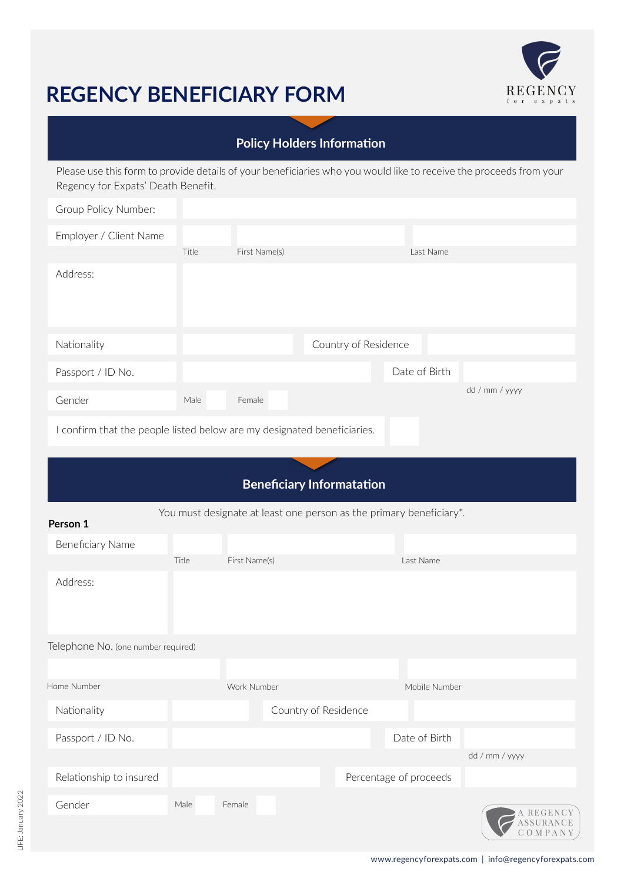# **REGENCY BENEFICIARY FORM**



### **Policy Holders Information**

Please use this form to provide details of your beneficiaries who you would like to receive the proceeds from your Regency for Expats' Death Benefit.

| Group Policy Number:                                                    |       |               |                      |               |                |  |
|-------------------------------------------------------------------------|-------|---------------|----------------------|---------------|----------------|--|
| Employer / Client Name                                                  |       |               |                      |               |                |  |
|                                                                         | Title | First Name(s) |                      | Last Name     |                |  |
| Address:                                                                |       |               |                      |               |                |  |
| Nationality                                                             |       |               | Country of Residence |               |                |  |
| Passport / ID No.                                                       |       |               |                      | Date of Birth |                |  |
| Gender                                                                  | Male  | Female        |                      |               | dd / mm / yyyy |  |
| I confirm that the people listed below are my designated beneficiaries. |       |               |                      |               |                |  |

## **Beneficiary Informatation**

| Person 1                            |       |               |                      | You must designate at least one person as the primary beneficiary*. |                                         |
|-------------------------------------|-------|---------------|----------------------|---------------------------------------------------------------------|-----------------------------------------|
| Beneficiary Name                    |       |               |                      |                                                                     |                                         |
|                                     | Title | First Name(s) |                      | Last Name                                                           |                                         |
| Address:                            |       |               |                      |                                                                     |                                         |
| Telephone No. (one number required) |       |               |                      |                                                                     |                                         |
|                                     |       |               |                      |                                                                     |                                         |
| Home Number                         |       | Work Number   |                      | Mobile Number                                                       |                                         |
| Nationality                         |       |               | Country of Residence |                                                                     |                                         |
| Passport / ID No.                   |       |               |                      | Date of Birth                                                       |                                         |
|                                     |       |               |                      |                                                                     | dd / mm / yyyy                          |
| Relationship to insured             |       |               |                      | Percentage of proceeds                                              |                                         |
| Gender                              | Male  | Female        |                      |                                                                     | A REGENCY<br>ASSURANCE<br><b>OMPANY</b> |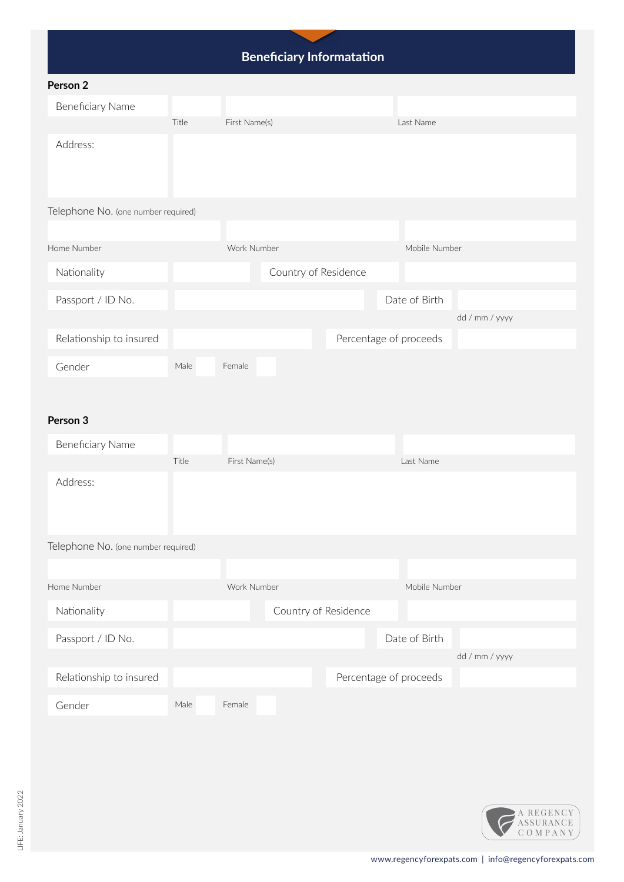# **Beneficiary Informatation**

| Person 2                            |       |               |                      |                        |                |
|-------------------------------------|-------|---------------|----------------------|------------------------|----------------|
| Beneficiary Name                    |       |               |                      |                        |                |
|                                     | Title | First Name(s) |                      | Last Name              |                |
| Address:                            |       |               |                      |                        |                |
| Telephone No. (one number required) |       |               |                      |                        |                |
|                                     |       |               |                      |                        |                |
| Home Number                         |       | Work Number   |                      | Mobile Number          |                |
| Nationality                         |       |               | Country of Residence |                        |                |
| Passport / ID No.                   |       |               |                      | Date of Birth          |                |
|                                     |       |               |                      |                        | dd / mm / yyyy |
| Relationship to insured             |       |               |                      | Percentage of proceeds |                |
| Gender                              | Male  | Female        |                      |                        |                |

#### **Person 3**

| Beneficiary Name                    |       |               |                      |                        |               |                |  |
|-------------------------------------|-------|---------------|----------------------|------------------------|---------------|----------------|--|
|                                     | Title | First Name(s) |                      | Last Name              |               |                |  |
| Address:                            |       |               |                      |                        |               |                |  |
| Telephone No. (one number required) |       |               |                      |                        |               |                |  |
|                                     |       |               |                      |                        |               |                |  |
| Home Number                         |       | Work Number   |                      |                        | Mobile Number |                |  |
| Nationality                         |       |               | Country of Residence |                        |               |                |  |
| Passport / ID No.                   |       |               |                      | Date of Birth          |               |                |  |
|                                     |       |               |                      |                        |               | dd / mm / yyyy |  |
| Relationship to insured             |       |               |                      | Percentage of proceeds |               |                |  |
| Gender                              | Male  | Female        |                      |                        |               |                |  |